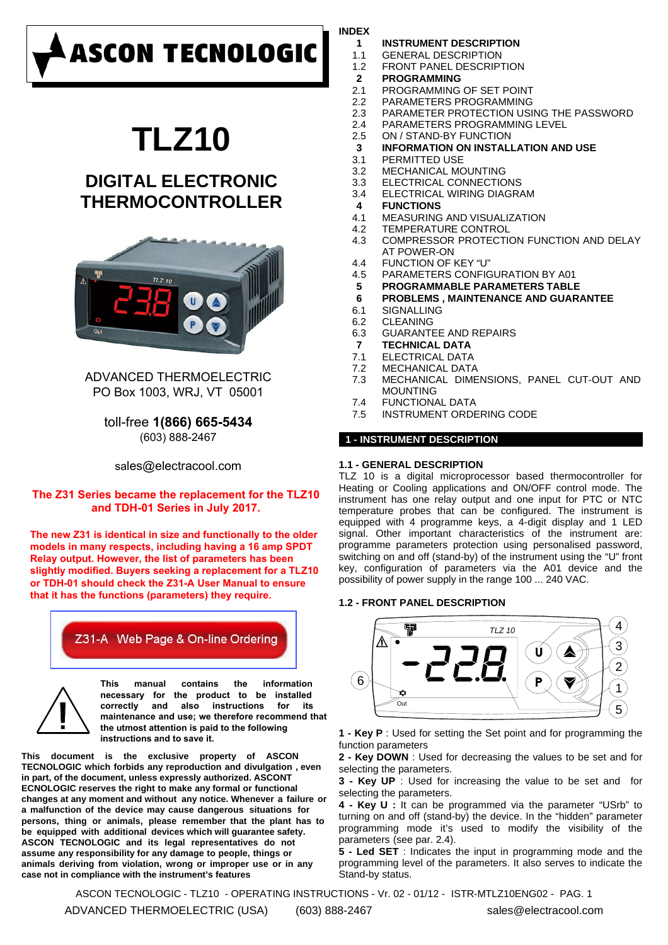# **ASCON TECNOLOGIC**

# **TLZ10**

# **DIGITAL ELECTRONIC THERMOCONTROLLER**



# ADVANCED THERMOELECTRIC PO Box 1003, WRJ, VT 05001

toll-free **1(866) 665-5434** (603) 888-2467

sales@electracool.com

# **The Z31 Series became the replacement for the TLZ10 and TDH-01 Series in July 2017.**

**The new Z31 is identical in size and functionally to the older models in many respects, including having a 16 amp SPDT Relay output. However, the list of parameters has been slightly modified. Buyers seeking a replacement for a TLZ10 or TDH-01 should check the Z31-A User Manual to ensure that it has the functions (parameters) they require.**

# Z31-A Web Page & On-line Ordering



**This manual contains the information necessary for the product to be installed**  correctly and also instructions for **maintenance and use; we therefore recommend that the utmost attention is paid to the following instructions and to save it.**

**This document is the exclusive property of ASCON TECNOLOGIC which forbids any reproduction and divulgation , even in part, of the document, unless expressly authorized. ASCONT ECNOLOGIC reserves the right to make any formal or functional changes at any moment and without any notice. Whenever a failure or a malfunction of the device may cause dangerous situations for persons, thing or animals, please remember that the plant has to be equipped with additional devices which will guarantee safety. ASCON TECNOLOGIC and its legal representatives do not assume any responsibility for any damage to people, things or animals deriving from violation, wrong or improper use or in any case not in compliance with the instrument's features**

# **INDEX**

- **1 INSTRUMENT DESCRIPTION**
- 1.1 GENERAL DESCRIPTION
- 1.2 FRONT PANEL DESCRIPTION
- **2 PROGRAMMING**
- 2.1 PROGRAMMING OF SET POINT
- 2.2 PARAMETERS PROGRAMMING
- 2.3 PARAMETER PROTECTION USING THE PASSWORD
- 2.4 PARAMETERS PROGRAMMING LEVEL
- 2.5 ON / STAND-BY FUNCTION
- **3 INFORMATION ON INSTALLATION AND USE**
- 3.1 PERMITTED USE
- 3.3 ELECTRICAL CONNECTIONS 3.2 MECHANICAL MOUNTING
- 3.4 ELECTRICAL WIRING DIAGRAM
- **4 FUNCTIONS**
- 4.1 MEASURING AND VISUALIZATION
- 4.2 TEMPERATURE CONTROL
- COMPRESSOR PROTECTION FUNCTION AND DELAY AT POWER-ON 4.3
- 4.4 FUNCTION OF KEY "U"
- 4.5 PARAMETERS CONFIGURATION BY A01
- **5 PROGRAMMABLE PARAMETERS TABLE**
- **6 PROBLEMS , MAINTENANCE AND GUARANTEE**
- 6.1 SIGNALLING
- 6.2 CLEANING
- 6.3 GUARANTEE AND REPAIRS
- **7 TECHNICAL DATA**
- 7.1 ELECTRICAL DATA
- 7.2 MECHANICAL DATA
- MECHANICAL DIMENSIONS, PANEL CUT-OUT AND MOUNTING 7.3
- 7.4 FUNCTIONAL DATA
- 7.5 INSTRUMENT ORDERING CODE

# **1 - INSTRUMENT DESCRIPTION**

# **1.1 - GENERAL DESCRIPTION**

TLZ 10 is a digital microprocessor based thermocontroller for Heating or Cooling applications and ON/OFF control mode. The instrument has one relay output and one input for PTC or NTC temperature probes that can be configured. The instrument is equipped with 4 programme keys, a 4-digit display and 1 LED signal. Other important characteristics of the instrument are: programme parameters protection using personalised password, switching on and off (stand-by) of the instrument using the "U" front key, configuration of parameters via the A01 device and the possibility of power supply in the range 100 ... 240 VAC.

# **1.2 - FRONT PANEL DESCRIPTION**



**1 - Key P** : Used for setting the Set point and for programming the function parameters

**2 - Key DOWN** : Used for decreasing the values to be set and for selecting the parameters.

**3 - Key UP** : Used for increasing the value to be set and for selecting the parameters.

**4 - Key U :** It can be programmed via the parameter "USrb" to turning on and off (stand-by) the device. In the "hidden" parameter programming mode it's used to modify the visibility of the parameters (see par. 2.4).

**5 - Led SET** : Indicates the input in programming mode and the programming level of the parameters. It also serves to indicate the Stand-by status.

ASCON TECNOLOGIC - TLZ10 - OPERATING INSTRUCTIONS - Vr. 02 - 01/12 - ISTR-MTLZ10ENG02 - PAG. 1

ADVANCED THERMOELECTRIC (USA) (603) 888-2467 sales@electracool.com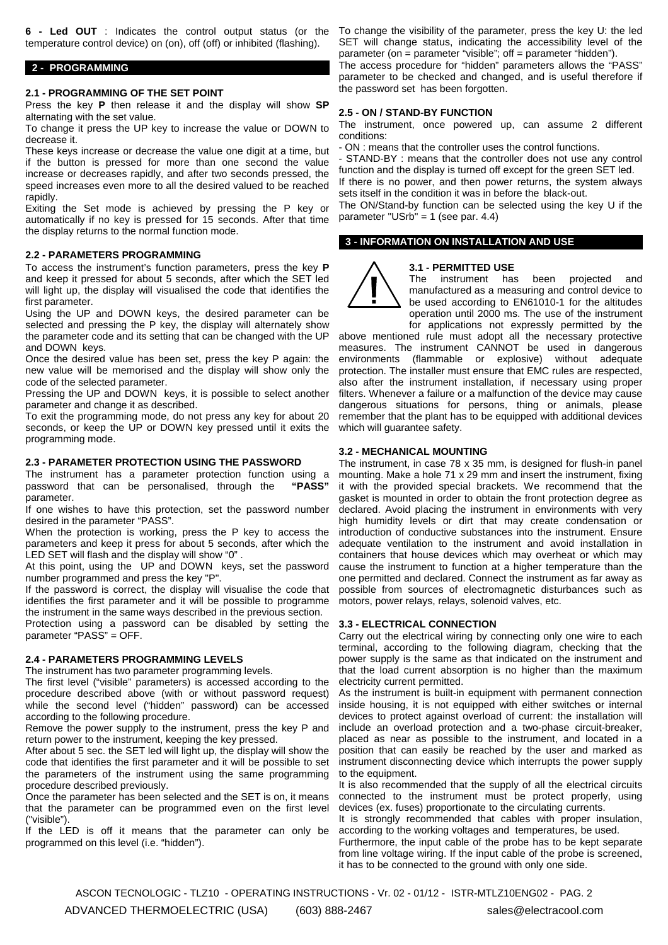**6 - Led OUT** : Indicates the control output status (or the temperature control device) on (on), off (off) or inhibited (flashing).

#### **2 - PROGRAMMING**

#### **2.1 - PROGRAMMING OF THE SET POINT**

Press the key **P** then release it and the display will show **SP** alternating with the set value.

To change it press the UP key to increase the value or DOWN to decrease it.

These keys increase or decrease the value one digit at a time, but if the button is pressed for more than one second the value increase or decreases rapidly, and after two seconds pressed, the speed increases even more to all the desired valued to be reached rapidly.

Exiting the Set mode is achieved by pressing the P key or automatically if no key is pressed for 15 seconds. After that time the display returns to the normal function mode.

### **2.2 - PARAMETERS PROGRAMMING**

To access the instrument's function parameters, press the key **P** and keep it pressed for about 5 seconds, after which the SET led will light up, the display will visualised the code that identifies the first parameter.

Using the UP and DOWN keys, the desired parameter can be selected and pressing the P key, the display will alternately show the parameter code and its setting that can be changed with the UP and DOWN keys.

Once the desired value has been set, press the key P again: the new value will be memorised and the display will show only the code of the selected parameter.

Pressing the UP and DOWN keys, it is possible to select another parameter and change it as described.

To exit the programming mode, do not press any key for about 20 seconds, or keep the UP or DOWN key pressed until it exits the programming mode.

### **2.3 - PARAMETER PROTECTION USING THE PASSWORD**

The instrument has a parameter protection function using a password that can be personalised, through the **"PASS"** parameter.

If one wishes to have this protection, set the password number desired in the parameter "PASS".

When the protection is working, press the P key to access the parameters and keep it press for about 5 seconds, after which the LED SET will flash and the display will show "0" .

At this point, using the UP and DOWN keys, set the password number programmed and press the key "P".

If the password is correct, the display will visualise the code that identifies the first parameter and it will be possible to programme the instrument in the same ways described in the previous section.

Protection using a password can be disabled by setting the parameter "PASS" = OFF.

# **2.4 - PARAMETERS PROGRAMMING LEVELS**

The instrument has two parameter programming levels.

The first level ("visible" parameters) is accessed according to the procedure described above (with or without password request) while the second level ("hidden" password) can be accessed according to the following procedure.

Remove the power supply to the instrument, press the key P and return power to the instrument, keeping the key pressed.

After about 5 sec. the SET led will light up, the display will show the code that identifies the first parameter and it will be possible to set the parameters of the instrument using the same programming procedure described previously.

Once the parameter has been selected and the SET is on, it means that the parameter can be programmed even on the first level ("visible").

If the LED is off it means that the parameter can only be programmed on this level (i.e. "hidden").

To change the visibility of the parameter, press the key U: the led SET will change status, indicating the accessibility level of the parameter (on = parameter "visible"; off = parameter "hidden").

The access procedure for "hidden" parameters allows the "PASS" parameter to be checked and changed, and is useful therefore if the password set has been forgotten.

# **2.5 - ON / STAND-BY FUNCTION**

The instrument, once powered up, can assume 2 different conditions:

- ON : means that the controller uses the control functions.

STAND-BY : means that the controller does not use any control function and the display is turned off except for the green SET led. If there is no power, and then power returns, the system always

sets itself in the condition it was in before the black-out. The ON/Stand-by function can be selected using the key U if the

parameter "USrb" = 1 (see par. 4.4)

# **3 - INFORMATION ON INSTALLATION AND USE**

### **3.1 - PERMITTED USE**

The instrument has been projected and manufactured as a measuring and control device to be used according to EN61010-1 for the altitudes operation until 2000 ms. The use of the instrument for applications not expressly permitted by the

above mentioned rule must adopt all the necessary protective measures. The instrument CANNOT be used in dangerous environments (flammable or explosive) without adequate protection. The installer must ensure that EMC rules are respected, also after the instrument installation, if necessary using proper filters. Whenever a failure or a malfunction of the device may cause dangerous situations for persons, thing or animals, please remember that the plant has to be equipped with additional devices which will guarantee safety.

### **3.2 - MECHANICAL MOUNTING**

The instrument, in case 78 x 35 mm, is designed for flush-in panel mounting. Make a hole 71 x 29 mm and insert the instrument, fixing it with the provided special brackets. We recommend that the gasket is mounted in order to obtain the front protection degree as declared. Avoid placing the instrument in environments with very high humidity levels or dirt that may create condensation or introduction of conductive substances into the instrument. Ensure adequate ventilation to the instrument and avoid installation in containers that house devices which may overheat or which may cause the instrument to function at a higher temperature than the one permitted and declared. Connect the instrument as far away as possible from sources of electromagnetic disturbances such as motors, power relays, relays, solenoid valves, etc.

## **3.3 - ELECTRICAL CONNECTION**

Carry out the electrical wiring by connecting only one wire to each terminal, according to the following diagram, checking that the power supply is the same as that indicated on the instrument and that the load current absorption is no higher than the maximum electricity current permitted.

As the instrument is built-in equipment with permanent connection inside housing, it is not equipped with either switches or internal devices to protect against overload of current: the installation will include an overload protection and a two-phase circuit-breaker, placed as near as possible to the instrument, and located in a position that can easily be reached by the user and marked as instrument disconnecting device which interrupts the power supply to the equipment.

It is also recommended that the supply of all the electrical circuits connected to the instrument must be protect properly, using devices (ex. fuses) proportionate to the circulating currents.

It is strongly recommended that cables with proper insulation, according to the working voltages and temperatures, be used.

Furthermore, the input cable of the probe has to be kept separate from line voltage wiring. If the input cable of the probe is screened, it has to be connected to the ground with only one side.

ASCON TECNOLOGIC - TLZ10 - OPERATING INSTRUCTIONS - Vr. 02 - 01/12 - ISTR-MTLZ10ENG02 - PAG. 2 ADVANCED THERMOELECTRIC (USA) (603) 888-2467 sales@electracool.com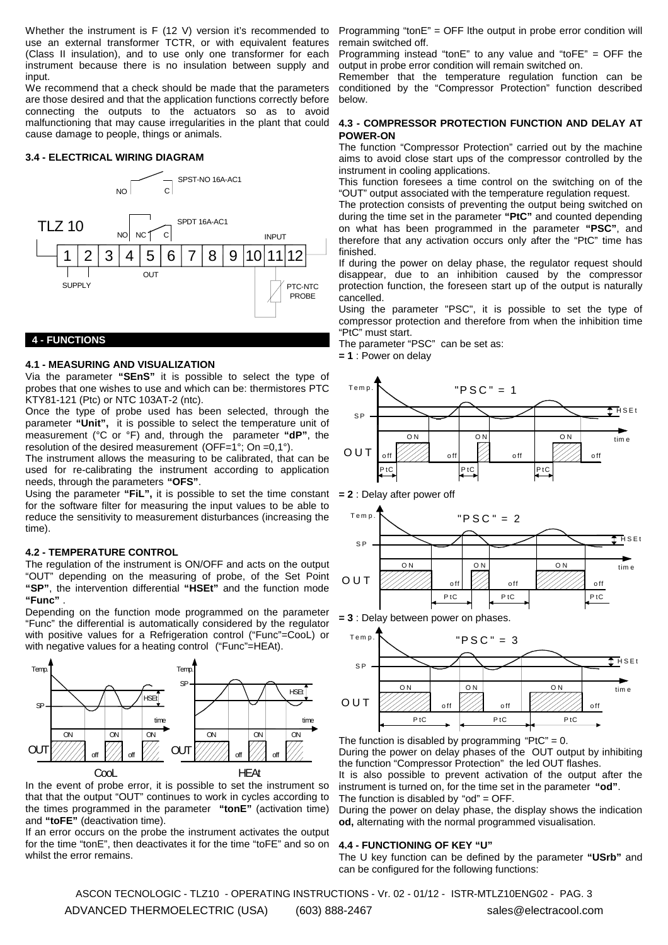Whether the instrument is F (12 V) version it's recommended to use an external transformer TCTR, or with equivalent features (Class II insulation), and to use only one transformer for each instrument because there is no insulation between supply and input.

We recommend that a check should be made that the parameters are those desired and that the application functions correctly before connecting the outputs to the actuators so as to avoid malfunctioning that may cause irregularities in the plant that could cause damage to people, things or animals.

# **3.4 - ELECTRICAL WIRING DIAGRAM**



# **4 - FUNCTIONS**

### **4.1 - MEASURING AND VISUALIZATION**

Via the parameter **"SEnS"** it is possible to select the type of probes that one wishes to use and which can be: thermistores PTC KTY81-121 (Ptc) or NTC 103AT-2 (ntc).

Once the type of probe used has been selected, through the parameter **"Unit",** it is possible to select the temperature unit of measurement (°C or °F) and, through the parameter **"dP"**, the resolution of the desired measurement (OFF=1°; On =0,1°).

The instrument allows the measuring to be calibrated, that can be used for re-calibrating the instrument according to application needs, through the parameters **"OFS"**.

Using the parameter **"FiL",** it is possible to set the time constant for the software filter for measuring the input values to be able to reduce the sensitivity to measurement disturbances (increasing the time).

# **4.2 - TEMPERATURE CONTROL**

The regulation of the instrument is ON/OFF and acts on the output "OUT" depending on the measuring of probe, of the Set Point **"SP"**, the intervention differential **"HSEt"** and the function mode **"Func"** .

Depending on the function mode programmed on the parameter "Func" the differential is automatically considered by the regulator with positive values for a Refrigeration control ("Func"=CooL) or with negative values for a heating control ("Func"=HEAt).



In the event of probe error, it is possible to set the instrument so that that the output "OUT" continues to work in cycles according to the times programmed in the parameter **"tonE"** (activation time) and **"toFE"** (deactivation time).

If an error occurs on the probe the instrument activates the output for the time "tonE", then deactivates it for the time "toFE" and so on whilst the error remains.

Programming "tonE" = OFF lthe output in probe error condition will remain switched off.

Programming instead "tonE" to any value and "toFE" = OFF the output in probe error condition will remain switched on.

Remember that the temperature regulation function can be conditioned by the "Compressor Protection" function described below.

# **4.3 - COMPRESSOR PROTECTION FUNCTION AND DELAY AT POWER-ON**

The function "Compressor Protection" carried out by the machine aims to avoid close start ups of the compressor controlled by the instrument in cooling applications.

This function foresees a time control on the switching on of the "OUT" output associated with the temperature regulation request.

The protection consists of preventing the output being switched on during the time set in the parameter **"PtC"** and counted depending on what has been programmed in the parameter **"PSC"**, and therefore that any activation occurs only after the "PtC" time has finished.

If during the power on delay phase, the regulator request should disappear, due to an inhibition caused by the compressor protection function, the foreseen start up of the output is naturally cancelled.

Using the parameter "PSC", it is possible to set the type of compressor protection and therefore from when the inhibition time "PtC" must start.

The parameter "PSC" can be set as:

**= 1** : Power on delay



**= 2** : Delay after power off



**= 3** : Delay between power on phases.



The function is disabled by programming "PtC" =  $0$ .

During the power on delay phases of the OUT output by inhibiting the function "Compressor Protection" the led OUT flashes. It is also possible to prevent activation of the output after the instrument is turned on, for the time set in the parameter **"od"**. The function is disabled by "od" = OFF.

During the power on delay phase, the display shows the indication **od,** alternating with the normal programmed visualisation.

# **4.4 - FUNCTIONING OF KEY "U"**

The U key function can be defined by the parameter **"USrb"** and can be configured for the following functions:

ASCON TECNOLOGIC - TLZ10 - OPERATING INSTRUCTIONS - Vr. 02 - 01/12 - ISTR-MTLZ10ENG02 - PAG. 3 ADVANCED THERMOELECTRIC (USA) (603) 888-2467 sales@electracool.com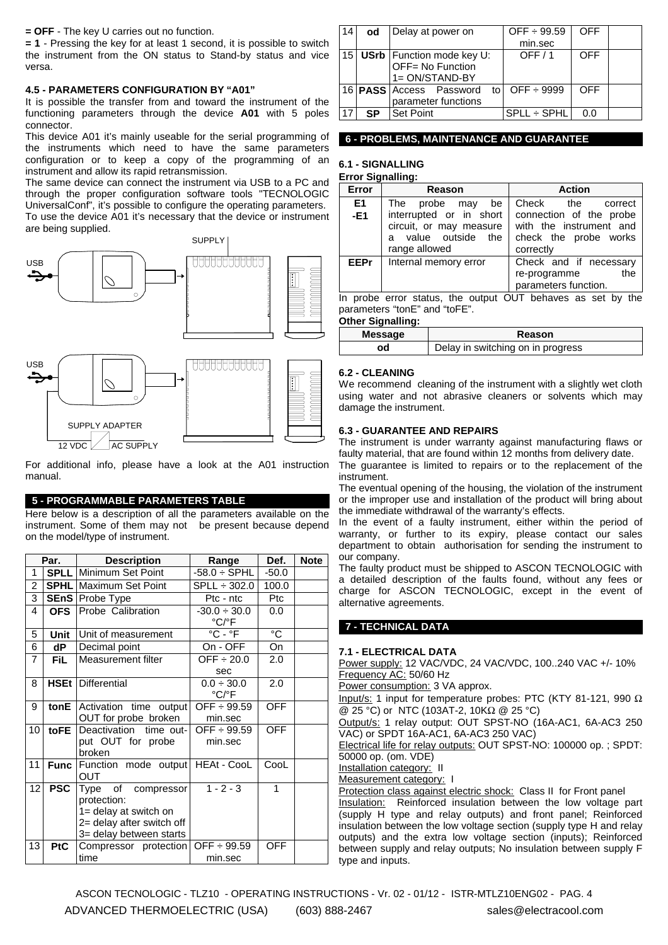**= OFF** - The key U carries out no function.

**= 1** - Pressing the key for at least 1 second, it is possible to switch the instrument from the ON status to Stand-by status and vice versa.

# **4.5 - PARAMETERS CONFIGURATION BY "A01"**

It is possible the transfer from and toward the instrument of the functioning parameters through the device **A01** with 5 poles connector.

This device A01 it's mainly useable for the serial programming of the instruments which need to have the same parameters configuration or to keep a copy of the programming of an instrument and allow its rapid retransmission.

The same device can connect the instrument via USB to a PC and through the proper configuration software tools "TECNOLOGIC UniversalConf", it's possible to configure the operating parameters. To use the device A01 it's necessary that the device or instrument are being supplied.



For additional info, please have a look at the A01 instruction manual.

#### **5 - PROGRAMMABLE PARAMETERS TABLE**

Here below is a description of all the parameters available on the instrument. Some of them may not be present because depend on the model/type of instrument.

| Par.           |             | <b>Description</b>                                                                                                    | Range                                               | Def.           | <b>Note</b> |
|----------------|-------------|-----------------------------------------------------------------------------------------------------------------------|-----------------------------------------------------|----------------|-------------|
| 1              |             | <b>SPLL</b> Minimum Set Point                                                                                         | $-58.0 \div$ SPHL                                   | $-50.0$        |             |
| $\overline{2}$ |             | <b>SPHL</b> Maximum Set Point                                                                                         | $SPLL \div 302.0$                                   | 100.0          |             |
| 3              |             | <b>SEnS</b> Probe Type                                                                                                | Ptc - ntc                                           | Ptc            |             |
| 4              | <b>OFS</b>  | Probe Calibration                                                                                                     | $-30.0 \div 30.0$<br>°C/°F                          | 0.0            |             |
| 5              | Unit        | Unit of measurement                                                                                                   | $\overline{{}^{\circ}C}$ - $\overline{{}^{\circ}F}$ | $\overline{C}$ |             |
| 6              | dP          | Decimal point                                                                                                         | On - OFF                                            | On             |             |
| $\overline{7}$ | <b>FiL</b>  | Measurement filter                                                                                                    | OFF $\div 20.0$<br>sec                              | 2.0            |             |
| 8              | <b>HSEt</b> | Differential                                                                                                          | $0.0 \div 30.0$<br>$^{\circ}$ C/ $^{\circ}$ F       | 2.0            |             |
| 9              | tonE        | Activation time output<br>OUT for probe broken                                                                        | OFF $\div$ 99.59<br>min.sec                         | <b>OFF</b>     |             |
| 10             | toFE        | Deactivation time out-<br>put OUT for probe<br>broken                                                                 | OFF $\div$ 99.59<br>min.sec                         | <b>OFF</b>     |             |
| 11             | <b>Func</b> | Function mode output   HEAt - CooL<br>OUT                                                                             |                                                     | CooL           |             |
| 12             | <b>PSC</b>  | Type of<br>compressor<br>protection:<br>1= delay at switch on<br>2= delay after switch off<br>3= delay between starts | $1 - 2 - 3$                                         | 1              |             |
| 13             | <b>PtC</b>  | Compressor protection<br>time                                                                                         | $OFF + 99.59$<br>min.sec                            | <b>OFF</b>     |             |

| 14 | od | Delay at power on                                                      | OFF $\div$ 99.59   | <b>OFF</b> |  |
|----|----|------------------------------------------------------------------------|--------------------|------------|--|
|    |    |                                                                        | min.sec            |            |  |
|    |    | 15   USrb   Function mode key U:<br>OFF= No Function<br>1= ON/STAND-BY | OFF/1              | OFF        |  |
|    |    | 16 <b>PASS</b> Access Password<br>parameter functions                  | to $OFF \div 9999$ | OFF        |  |
| 17 | SP | l Set Point                                                            | SPLL ÷ SPHL        | 0.0        |  |

### **6 - PROBLEMS, MAINTENANCE AND GUARANTEE**

# **6.1 - SIGNALLING**

**Error Signalling:**

| Error       | <b>Reason</b>                                               | <b>Action</b>           |  |  |
|-------------|-------------------------------------------------------------|-------------------------|--|--|
| E1          | The probe may<br>be                                         | Check the<br>correct    |  |  |
| $-E1$       | interrupted or in short                                     | connection of the probe |  |  |
|             | circuit, or may measure                                     | with the instrument and |  |  |
|             | a value outside the                                         | check the probe works   |  |  |
|             | range allowed                                               | correctly               |  |  |
| <b>EEPr</b> | Internal memory error                                       | Check and if necessary  |  |  |
|             |                                                             | the<br>re-programme     |  |  |
|             |                                                             | parameters function.    |  |  |
|             | In probe error status, the output OUT behaves as set by the |                         |  |  |

parameters "tonE" and "toFE".

#### **Other Signalling:**

| Message | Reason                            |  |
|---------|-----------------------------------|--|
| od      | Delay in switching on in progress |  |

## **6.2 - CLEANING**

We recommend cleaning of the instrument with a slightly wet cloth using water and not abrasive cleaners or solvents which may damage the instrument.

### **6.3 - GUARANTEE AND REPAIRS**

The instrument is under warranty against manufacturing flaws or faulty material, that are found within 12 months from delivery date. The guarantee is limited to repairs or to the replacement of the instrument.

The eventual opening of the housing, the violation of the instrument or the improper use and installation of the product will bring about the immediate withdrawal of the warranty's effects.

In the event of a faulty instrument, either within the period of warranty, or further to its expiry, please contact our sales department to obtain authorisation for sending the instrument to our company.

The faulty product must be shipped to ASCON TECNOLOGIC with a detailed description of the faults found, without any fees or charge for ASCON TECNOLOGIC, except in the event of alternative agreements.

### **7 - TECHNICAL DATA**

#### **7.1 - ELECTRICAL DATA**

Power supply: 12 VAC/VDC, 24 VAC/VDC, 100..240 VAC +/- 10% Frequency AC: 50/60 Hz

Power consumption: 3 VA approx.

Input/s: 1 input for temperature probes: PTC (KTY 81-121, 990 Ω @ 25 °C) or NTC (103AT-2, 10KΩ @ 25 °C)

Output/s: 1 relay output: OUT SPST-NO (16A-AC1, 6A-AC3 250 VAC) or SPDT 16A-AC1, 6A-AC3 250 VAC)

Electrical life for relay outputs: OUT SPST-NO: 100000 op. ; SPDT: 50000 op. (om. VDE)

Installation category: II

Measurement category: I

Protection class against electric shock: Class II for Front panel Insulation:Reinforced insulation between the low voltage part (supply H type and relay outputs) and front panel; Reinforced insulation between the low voltage section (supply type H and relay outputs) and the extra low voltage section (inputs); Reinforced between supply and relay outputs; No insulation between supply F type and inputs.